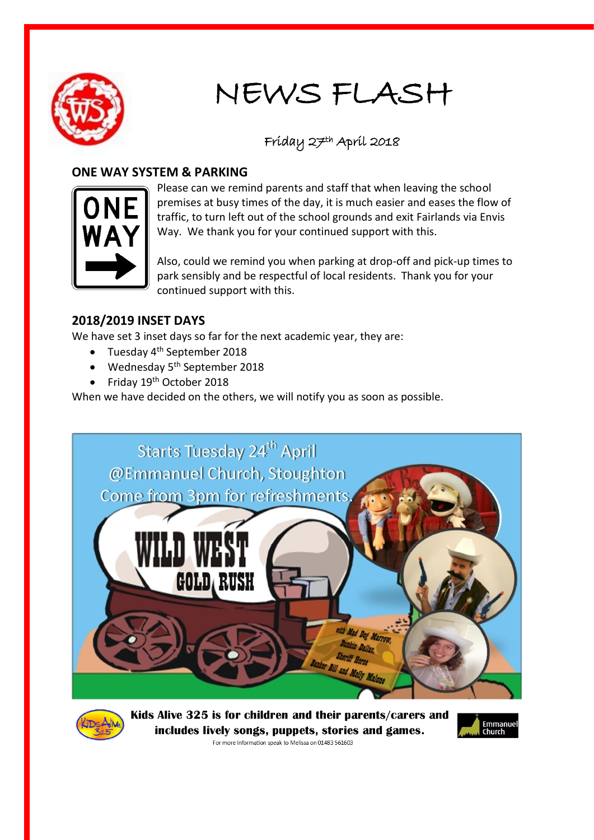

# NEWS FLASH

## Friday 27th April 2018

## **ONE WAY SYSTEM & PARKING**



Please can we remind parents and staff that when leaving the school premises at busy times of the day, it is much easier and eases the flow of traffic, to turn left out of the school grounds and exit Fairlands via Envis Way. We thank you for your continued support with this.

Also, could we remind you when parking at drop-off and pick-up times to park sensibly and be respectful of local residents. Thank you for your continued support with this.

## **2018/2019 INSET DAYS**

We have set 3 inset days so far for the next academic year, they are:

- $\bullet$  Tuesday 4<sup>th</sup> September 2018
- $\bullet$  Wednesday 5<sup>th</sup> September 2018
- Friday 19<sup>th</sup> October 2018

When we have decided on the others, we will notify you as soon as possible.





Kids Alive 325 is for children and their parents/carers and includes lively songs, puppets, stories and games.



For more information speak to Melissa on 01483 561603